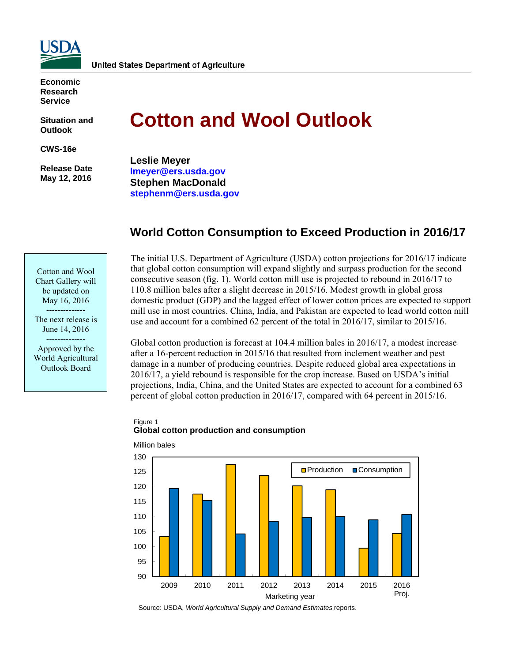

**Economic Research Service** 

**Situation and Outlook** 

**CWS-16e** 

 **Release Date May 12, 2016** 

# **Cotton and Wool Outlook**

**Leslie Meyer lmeyer@ers.usda.gov Stephen MacDonald stephenm@ers.usda.gov** 

# **World Cotton Consumption to Exceed Production in 2016/17**

Cotton and Wool Chart Gallery will be updated on May 16, 2016 --------------

The next release is June 14, 2016 --------------

Approved by the World Agricultural Outlook Board

The initial U.S. Department of Agriculture (USDA) cotton projections for 2016/17 indicate that global cotton consumption will expand slightly and surpass production for the second consecutive season (fig. 1). World cotton mill use is projected to rebound in 2016/17 to 110.8 million bales after a slight decrease in 2015/16. Modest growth in global gross domestic product (GDP) and the lagged effect of lower cotton prices are expected to support mill use in most countries. China, India, and Pakistan are expected to lead world cotton mill use and account for a combined 62 percent of the total in 2016/17, similar to 2015/16.

Global cotton production is forecast at 104.4 million bales in 2016/17, a modest increase after a 16-percent reduction in 2015/16 that resulted from inclement weather and pest damage in a number of producing countries. Despite reduced global area expectations in 2016/17, a yield rebound is responsible for the crop increase. Based on USDA's initial projections, India, China, and the United States are expected to account for a combined 63 percent of global cotton production in 2016/17, compared with 64 percent in 2015/16.





Source: USDA, *World Agricultural Supply and Demand Estimates* reports.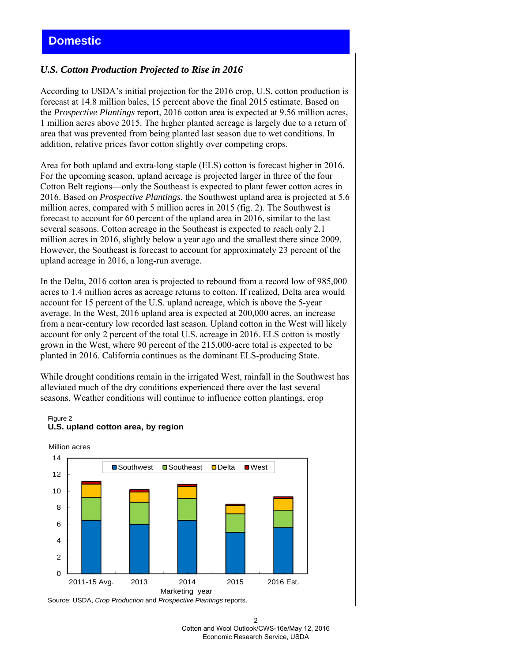# **Domestic**

# *U.S. Cotton Production Projected to Rise in 2016*

According to USDA's initial projection for the 2016 crop, U.S. cotton production is forecast at 14.8 million bales, 15 percent above the final 2015 estimate. Based on the *Prospective Plantings* report, 2016 cotton area is expected at 9.56 million acres, 1 million acres above 2015. The higher planted acreage is largely due to a return of area that was prevented from being planted last season due to wet conditions. In addition, relative prices favor cotton slightly over competing crops.

Area for both upland and extra-long staple (ELS) cotton is forecast higher in 2016. For the upcoming season, upland acreage is projected larger in three of the four Cotton Belt regions—only the Southeast is expected to plant fewer cotton acres in 2016. Based on *Prospective Plantings*, the Southwest upland area is projected at 5.6 million acres, compared with 5 million acres in 2015 (fig. 2). The Southwest is forecast to account for 60 percent of the upland area in 2016, similar to the last several seasons. Cotton acreage in the Southeast is expected to reach only 2.1 million acres in 2016, slightly below a year ago and the smallest there since 2009. However, the Southeast is forecast to account for approximately 23 percent of the upland acreage in 2016, a long-run average.

In the Delta, 2016 cotton area is projected to rebound from a record low of 985,000 acres to 1.4 million acres as acreage returns to cotton. If realized, Delta area would account for 15 percent of the U.S. upland acreage, which is above the 5-year average. In the West, 2016 upland area is expected at 200,000 acres, an increase from a near-century low recorded last season. Upland cotton in the West will likely account for only 2 percent of the total U.S. acreage in 2016. ELS cotton is mostly grown in the West, where 90 percent of the 215,000-acre total is expected to be planted in 2016. California continues as the dominant ELS-producing State.

While drought conditions remain in the irrigated West, rainfall in the Southwest has alleviated much of the dry conditions experienced there over the last several seasons. Weather conditions will continue to influence cotton plantings, crop

#### Figure 2 **U.S. upland cotton area, by region**

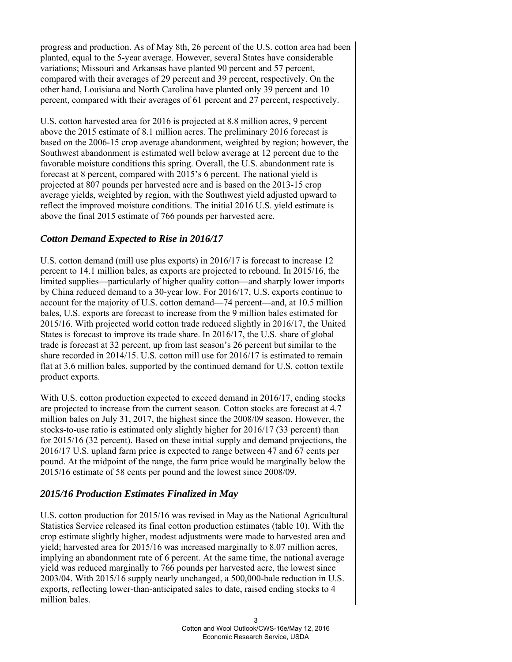progress and production. As of May 8th, 26 percent of the U.S. cotton area had been planted, equal to the 5-year average. However, several States have considerable variations; Missouri and Arkansas have planted 90 percent and 57 percent, compared with their averages of 29 percent and 39 percent, respectively. On the other hand, Louisiana and North Carolina have planted only 39 percent and 10 percent, compared with their averages of 61 percent and 27 percent, respectively.

U.S. cotton harvested area for 2016 is projected at 8.8 million acres, 9 percent above the 2015 estimate of 8.1 million acres. The preliminary 2016 forecast is based on the 2006-15 crop average abandonment, weighted by region; however, the Southwest abandonment is estimated well below average at 12 percent due to the favorable moisture conditions this spring. Overall, the U.S. abandonment rate is forecast at 8 percent, compared with 2015's 6 percent. The national yield is projected at 807 pounds per harvested acre and is based on the 2013-15 crop average yields, weighted by region, with the Southwest yield adjusted upward to reflect the improved moisture conditions. The initial 2016 U.S. yield estimate is above the final 2015 estimate of 766 pounds per harvested acre.

# *Cotton Demand Expected to Rise in 2016/17*

U.S. cotton demand (mill use plus exports) in 2016/17 is forecast to increase 12 percent to 14.1 million bales, as exports are projected to rebound. In 2015/16, the limited supplies—particularly of higher quality cotton—and sharply lower imports by China reduced demand to a 30-year low. For 2016/17, U.S. exports continue to account for the majority of U.S. cotton demand—74 percent—and, at 10.5 million bales, U.S. exports are forecast to increase from the 9 million bales estimated for 2015/16. With projected world cotton trade reduced slightly in 2016/17, the United States is forecast to improve its trade share. In 2016/17, the U.S. share of global trade is forecast at 32 percent, up from last season's 26 percent but similar to the share recorded in 2014/15. U.S. cotton mill use for 2016/17 is estimated to remain flat at 3.6 million bales, supported by the continued demand for U.S. cotton textile product exports.

With U.S. cotton production expected to exceed demand in 2016/17, ending stocks are projected to increase from the current season. Cotton stocks are forecast at 4.7 million bales on July 31, 2017, the highest since the 2008/09 season. However, the stocks-to-use ratio is estimated only slightly higher for 2016/17 (33 percent) than for 2015/16 (32 percent). Based on these initial supply and demand projections, the 2016/17 U.S. upland farm price is expected to range between 47 and 67 cents per pound. At the midpoint of the range, the farm price would be marginally below the 2015/16 estimate of 58 cents per pound and the lowest since 2008/09.

# *2015/16 Production Estimates Finalized in May*

U.S. cotton production for 2015/16 was revised in May as the National Agricultural Statistics Service released its final cotton production estimates (table 10). With the crop estimate slightly higher, modest adjustments were made to harvested area and yield; harvested area for 2015/16 was increased marginally to 8.07 million acres, implying an abandonment rate of 6 percent. At the same time, the national average yield was reduced marginally to 766 pounds per harvested acre, the lowest since 2003/04. With 2015/16 supply nearly unchanged, a 500,000-bale reduction in U.S. exports, reflecting lower-than-anticipated sales to date, raised ending stocks to 4 million bales.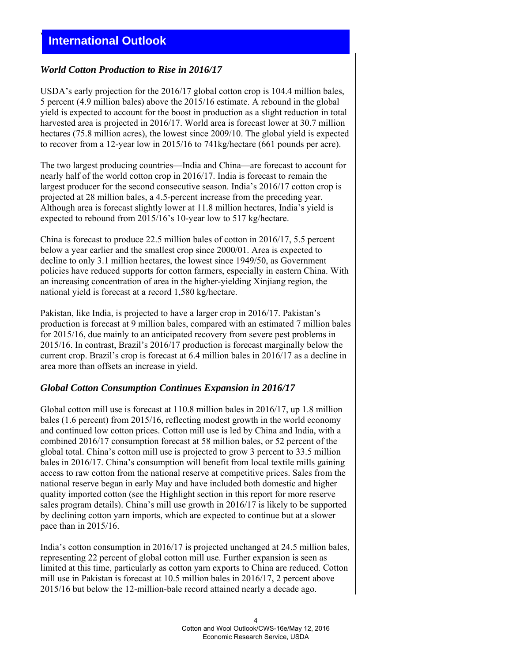# **International Outlook**

# *World Cotton Production to Rise in 2016/17*

USDA's early projection for the 2016/17 global cotton crop is 104.4 million bales, 5 percent (4.9 million bales) above the 2015/16 estimate. A rebound in the global yield is expected to account for the boost in production as a slight reduction in total harvested area is projected in 2016/17. World area is forecast lower at 30.7 million hectares (75.8 million acres), the lowest since 2009/10. The global yield is expected to recover from a 12-year low in 2015/16 to 741kg/hectare (661 pounds per acre).

The two largest producing countries—India and China—are forecast to account for nearly half of the world cotton crop in 2016/17. India is forecast to remain the largest producer for the second consecutive season. India's 2016/17 cotton crop is projected at 28 million bales, a 4.5-percent increase from the preceding year. Although area is forecast slightly lower at 11.8 million hectares, India's yield is expected to rebound from 2015/16's 10-year low to 517 kg/hectare.

China is forecast to produce 22.5 million bales of cotton in 2016/17, 5.5 percent below a year earlier and the smallest crop since 2000/01. Area is expected to decline to only 3.1 million hectares, the lowest since 1949/50, as Government policies have reduced supports for cotton farmers, especially in eastern China. With an increasing concentration of area in the higher-yielding Xinjiang region, the national yield is forecast at a record 1,580 kg/hectare.

Pakistan, like India, is projected to have a larger crop in 2016/17. Pakistan's production is forecast at 9 million bales, compared with an estimated 7 million bales for 2015/16, due mainly to an anticipated recovery from severe pest problems in 2015/16. In contrast, Brazil's 2016/17 production is forecast marginally below the current crop. Brazil's crop is forecast at 6.4 million bales in 2016/17 as a decline in area more than offsets an increase in yield.

# *Global Cotton Consumption Continues Expansion in 2016/17*

Global cotton mill use is forecast at 110.8 million bales in 2016/17, up 1.8 million bales (1.6 percent) from 2015/16, reflecting modest growth in the world economy and continued low cotton prices. Cotton mill use is led by China and India, with a combined 2016/17 consumption forecast at 58 million bales, or 52 percent of the global total. China's cotton mill use is projected to grow 3 percent to 33.5 million bales in 2016/17. China's consumption will benefit from local textile mills gaining access to raw cotton from the national reserve at competitive prices. Sales from the national reserve began in early May and have included both domestic and higher quality imported cotton (see the Highlight section in this report for more reserve sales program details). China's mill use growth in 2016/17 is likely to be supported by declining cotton yarn imports, which are expected to continue but at a slower pace than in 2015/16.

India's cotton consumption in 2016/17 is projected unchanged at 24.5 million bales, representing 22 percent of global cotton mill use. Further expansion is seen as limited at this time, particularly as cotton yarn exports to China are reduced. Cotton mill use in Pakistan is forecast at 10.5 million bales in 2016/17, 2 percent above 2015/16 but below the 12-million-bale record attained nearly a decade ago.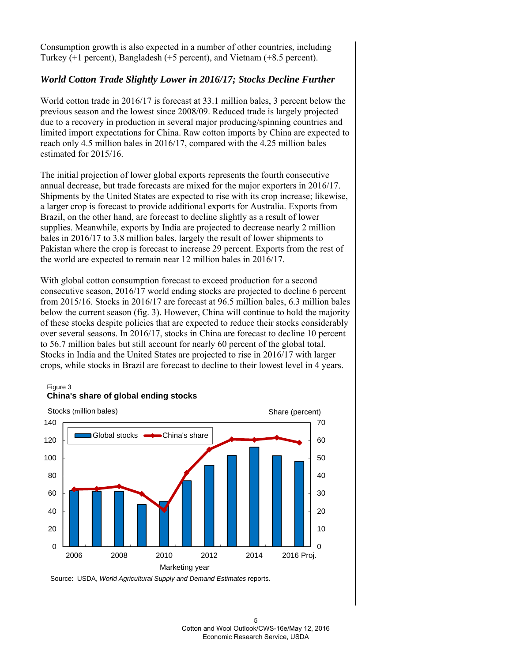Consumption growth is also expected in a number of other countries, including Turkey (+1 percent), Bangladesh (+5 percent), and Vietnam (+8.5 percent).

# *World Cotton Trade Slightly Lower in 2016/17; Stocks Decline Further*

World cotton trade in 2016/17 is forecast at 33.1 million bales, 3 percent below the previous season and the lowest since 2008/09. Reduced trade is largely projected due to a recovery in production in several major producing/spinning countries and limited import expectations for China. Raw cotton imports by China are expected to reach only 4.5 million bales in 2016/17, compared with the 4.25 million bales estimated for 2015/16.

The initial projection of lower global exports represents the fourth consecutive annual decrease, but trade forecasts are mixed for the major exporters in 2016/17. Shipments by the United States are expected to rise with its crop increase; likewise, a larger crop is forecast to provide additional exports for Australia. Exports from Brazil, on the other hand, are forecast to decline slightly as a result of lower supplies. Meanwhile, exports by India are projected to decrease nearly 2 million bales in 2016/17 to 3.8 million bales, largely the result of lower shipments to Pakistan where the crop is forecast to increase 29 percent. Exports from the rest of the world are expected to remain near 12 million bales in 2016/17.

With global cotton consumption forecast to exceed production for a second consecutive season, 2016/17 world ending stocks are projected to decline 6 percent from 2015/16. Stocks in 2016/17 are forecast at 96.5 million bales, 6.3 million bales below the current season (fig. 3). However, China will continue to hold the majority of these stocks despite policies that are expected to reduce their stocks considerably over several seasons. In 2016/17, stocks in China are forecast to decline 10 percent to 56.7 million bales but still account for nearly 60 percent of the global total. Stocks in India and the United States are projected to rise in 2016/17 with larger crops, while stocks in Brazil are forecast to decline to their lowest level in 4 years.

#### Figure 3 **China's share of global ending stocks**



Source: USDA, *World Agricultural Supply and Demand Estimates* reports.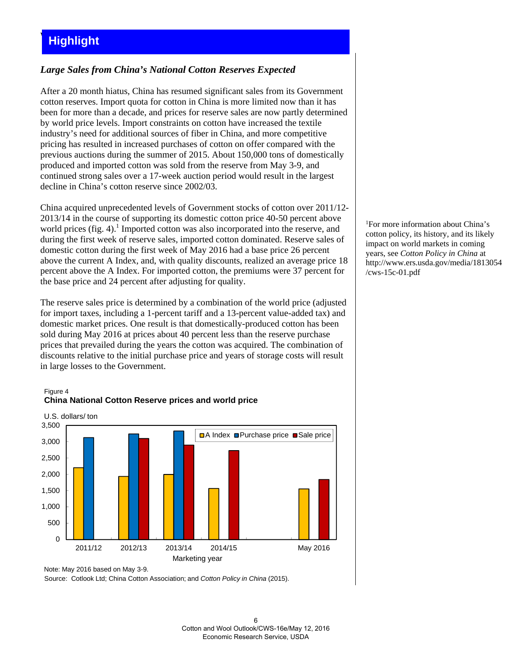# **Highlight**

# *Large Sales from China's National Cotton Reserves Expected*

After a 20 month hiatus, China has resumed significant sales from its Government cotton reserves. Import quota for cotton in China is more limited now than it has been for more than a decade, and prices for reserve sales are now partly determined by world price levels. Import constraints on cotton have increased the textile industry's need for additional sources of fiber in China, and more competitive pricing has resulted in increased purchases of cotton on offer compared with the previous auctions during the summer of 2015. About 150,000 tons of domestically produced and imported cotton was sold from the reserve from May 3-9, and continued strong sales over a 17-week auction period would result in the largest decline in China's cotton reserve since 2002/03.

China acquired unprecedented levels of Government stocks of cotton over 2011/12- 2013/14 in the course of supporting its domestic cotton price 40-50 percent above world prices (fig. 4).<sup>1</sup> Imported cotton was also incorporated into the reserve, and during the first week of reserve sales, imported cotton dominated. Reserve sales of domestic cotton during the first week of May 2016 had a base price 26 percent above the current A Index, and, with quality discounts, realized an average price 18 percent above the A Index. For imported cotton, the premiums were 37 percent for the base price and 24 percent after adjusting for quality.

The reserve sales price is determined by a combination of the world price (adjusted for import taxes, including a 1-percent tariff and a 13-percent value-added tax) and domestic market prices. One result is that domestically-produced cotton has been sold during May 2016 at prices about 40 percent less than the reserve purchase prices that prevailed during the years the cotton was acquired. The combination of discounts relative to the initial purchase price and years of storage costs will result in large losses to the Government.



#### Figure 4 **China National Cotton Reserve prices and world price**

Note: May 2016 based on May 3-9.

Source: Cotlook Ltd; China Cotton Association; and *Cotton Policy in China* (2015).

1 For more information about China's cotton policy, its history, and its likely impact on world markets in coming years, see *Cotton Policy in China* at http://www.ers.usda.gov/media/1813054 /cws-15c-01.pdf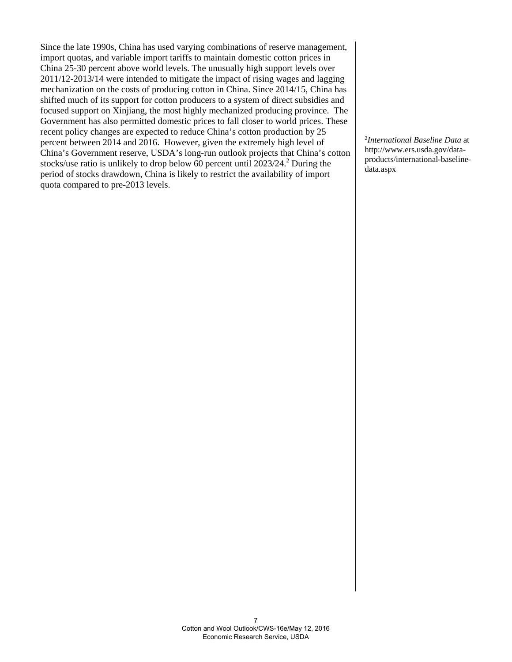Since the late 1990s, China has used varying combinations of reserve management, import quotas, and variable import tariffs to maintain domestic cotton prices in China 25-30 percent above world levels. The unusually high support levels over 2011/12-2013/14 were intended to mitigate the impact of rising wages and lagging mechanization on the costs of producing cotton in China. Since 2014/15, China has shifted much of its support for cotton producers to a system of direct subsidies and focused support on Xinjiang, the most highly mechanized producing province. The Government has also permitted domestic prices to fall closer to world prices. These recent policy changes are expected to reduce China's cotton production by 25 percent between 2014 and 2016. However, given the extremely high level of China's Government reserve, USDA's long-run outlook projects that China's cotton stocks/use ratio is unlikely to drop below  $60$  percent until  $2023/24$ .<sup>2</sup> During the period of stocks drawdown, China is likely to restrict the availability of import quota compared to pre-2013 levels.

2 *International Baseline Data* at http://www.ers.usda.gov/dataproducts/international-baselinedata.aspx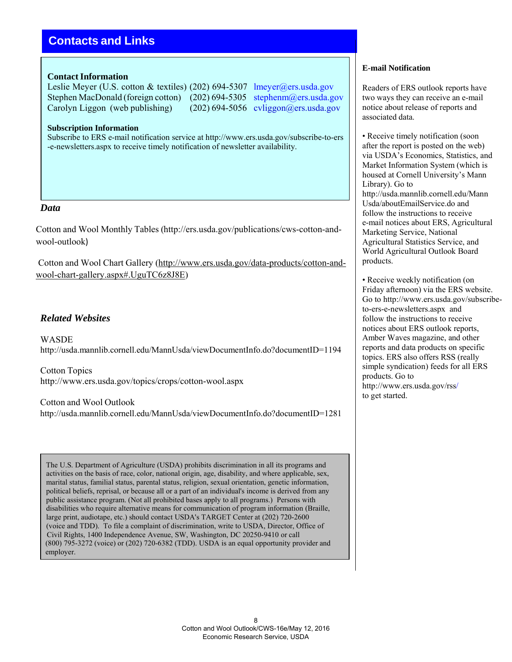# **Contacts and Links**

### **Contact Information**

Leslie Meyer (U.S. cotton & textiles) (202) 694-5307 lmeyer@ers.usda.gov Stephen MacDonald (foreign cotton) (202) 694-5305 stephenm@ers.usda.gov Carolyn Liggon (web publishing) (202) 694-5056 cyliggon@ers.usda.gov

**Subscription Information**

Subscribe to ERS e-mail notification service at http://www.ers.usda.gov/subscribe-to-ers -e-newsletters.aspx to receive timely notification of newsletter availability.

### *Data*

Cotton and Wool Monthly Tables (http://ers.usda.gov/publications/cws-cotton-andwool-outlook)

Cotton and Wool Chart Gallery (http://www.ers.usda.gov/data-products/cotton-andwool-chart-gallery.aspx#.UguTC6z8J8E)

# *Related Websites*

**WASDE** http://usda.mannlib.cornell.edu/MannUsda/viewDocumentInfo.do?documentID=1194

Cotton Topics http://www.ers.usda.gov/topics/crops/cotton-wool.aspx

Cotton and Wool Outlook http://usda.mannlib.cornell.edu/MannUsda/viewDocumentInfo.do?documentID=1281

The U.S. Department of Agriculture (USDA) prohibits discrimination in all its programs and activities on the basis of race, color, national origin, age, disability, and where applicable, sex, marital status, familial status, parental status, religion, sexual orientation, genetic information, political beliefs, reprisal, or because all or a part of an individual's income is derived from any public assistance program. (Not all prohibited bases apply to all programs.) Persons with disabilities who require alternative means for communication of program information (Braille, large print, audiotape, etc.) should contact USDA's TARGET Center at (202) 720-2600 (voice and TDD). To file a complaint of discrimination, write to USDA, Director, Office of Civil Rights, 1400 Independence Avenue, SW, Washington, DC 20250-9410 or call (800) 795-3272 (voice) or (202) 720-6382 (TDD). USDA is an equal opportunity provider and employer.

### **E-mail Notification**

Readers of ERS outlook reports have two ways they can receive an e-mail notice about release of reports and associated data.

• Receive timely notification (soon) after the report is posted on the web) via USDA's Economics, Statistics, and Market Information System (which is housed at Cornell University's Mann Library). Go to http://usda.mannlib.cornell.edu/Mann Usda/aboutEmailService.do and follow the instructions to receive e-mail notices about ERS, Agricultural Marketing Service, National Agricultural Statistics Service, and World Agricultural Outlook Board products.

• Receive weekly notification (on Friday afternoon) via the ERS website. Go to http://www.ers.usda.gov/subscribeto-ers-e-newsletters.aspx and follow the instructions to receive notices about ERS outlook reports, Amber Waves magazine, and other reports and data products on specific topics. ERS also offers RSS (really simple syndication) feeds for all ERS products. Go to http://www.ers.usda.gov/rss/ to get started.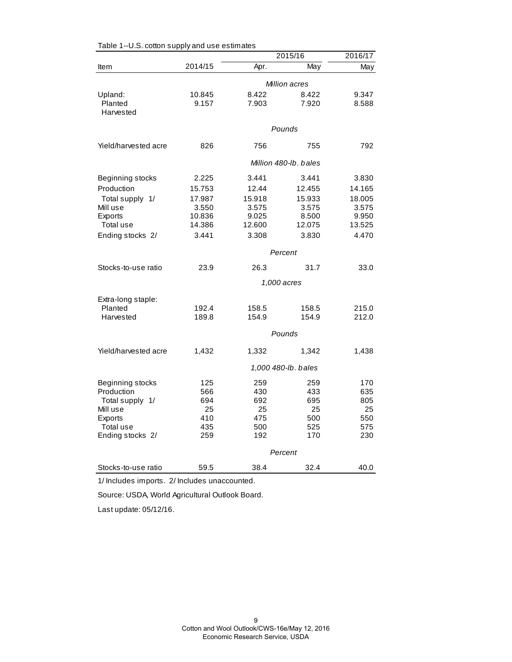|                      |         |        | 2015/16               | 2016/17 |
|----------------------|---------|--------|-----------------------|---------|
| Item                 | 2014/15 | Apr.   | May                   | May     |
|                      |         |        | Million acres         |         |
| Upland:              | 10.845  | 8.422  | 8.422                 | 9.347   |
| Planted              | 9.157   | 7.903  | 7.920                 | 8.588   |
| Harvested            |         |        |                       |         |
|                      |         |        | Pounds                |         |
| Yield/harvested acre | 826     | 756    | 755                   | 792     |
|                      |         |        | Million 480-lb, bales |         |
| Beginning stocks     | 2.225   | 3.441  | 3.441                 | 3.830   |
| Production           | 15.753  | 12.44  | 12.455                | 14.165  |
| Total supply 1/      | 17.987  | 15.918 | 15.933                | 18.005  |
| Mill use             | 3.550   | 3.575  | 3.575                 | 3.575   |
| Exports              | 10.836  | 9.025  | 8.500                 | 9.950   |
| Total use            | 14.386  | 12.600 | 12.075                | 13.525  |
| Ending stocks 2/     | 3.441   | 3.308  | 3.830                 | 4.470   |
|                      |         |        | Percent               |         |
| Stocks-to-use ratio  | 23.9    | 26.3   | 31.7                  | 33.0    |
|                      |         |        | 1,000 acres           |         |
| Extra-long staple:   |         |        |                       |         |
| Planted              | 192.4   | 158.5  | 158.5                 | 215.0   |
| Harvested            | 189.8   | 154.9  | 154.9                 | 212.0   |
|                      |         |        | Pounds                |         |
| Yield/harvested acre | 1,432   | 1,332  | 1,342                 | 1,438   |
|                      |         |        | 1,000 480-lb. bales   |         |
| Beginning stocks     | 125     | 259    | 259                   | 170     |
| Production           | 566     | 430    | 433                   | 635     |
| Total supply 1/      | 694     | 692    | 695                   | 805     |
| Mill use             | 25      | 25     | 25                    | 25      |
| Exports              | 410     | 475    | 500                   | 550     |
| Total use            | 435     | 500    | 525                   | 575     |
| Ending stocks 2/     | 259     | 192    | 170                   | 230     |
|                      |         |        | Percent               |         |
| Stocks-to-use ratio  | 59.5    | 38.4   | 32.4                  | 40.0    |

Table 1--U.S. cotton supply and use estimates

1/ Includes imports. 2/ Includes unaccounted.

Source: USDA, World Agricultural Outlook Board.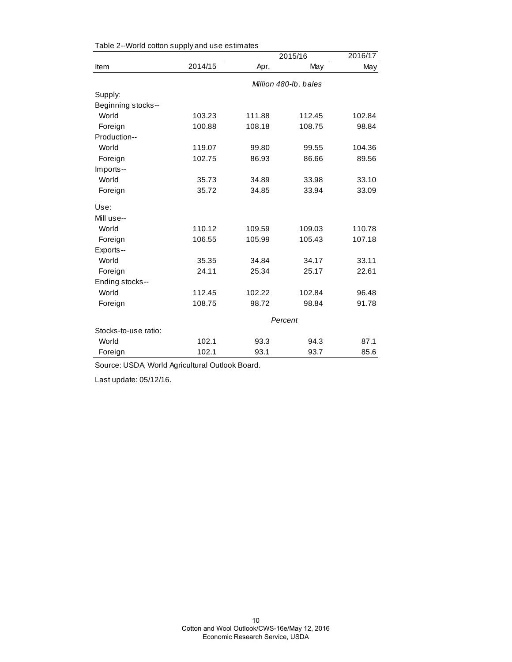|                      |         |        | 2015/16               | 2016/17 |
|----------------------|---------|--------|-----------------------|---------|
| Item                 | 2014/15 | Apr.   | $\overline{May}$      | May     |
|                      |         |        | Million 480-lb, bales |         |
| Supply:              |         |        |                       |         |
| Beginning stocks--   |         |        |                       |         |
| World                | 103.23  | 111.88 | 112.45                | 102.84  |
| Foreign              | 100.88  | 108.18 | 108.75                | 98.84   |
| Production--         |         |        |                       |         |
| World                | 119.07  | 99.80  | 99.55                 | 104.36  |
| Foreign              | 102.75  | 86.93  | 86.66                 | 89.56   |
| Imports--            |         |        |                       |         |
| World                | 35.73   | 34.89  | 33.98                 | 33.10   |
| Foreign              | 35.72   | 34.85  | 33.94                 | 33.09   |
| Use:                 |         |        |                       |         |
| Mill use--           |         |        |                       |         |
| World                | 110.12  | 109.59 | 109.03                | 110.78  |
| Foreign              | 106.55  | 105.99 | 105.43                | 107.18  |
| Exports--            |         |        |                       |         |
| World                | 35.35   | 34.84  | 34.17                 | 33.11   |
| Foreign              | 24.11   | 25.34  | 25.17                 | 22.61   |
| Ending stocks--      |         |        |                       |         |
| World                | 112.45  | 102.22 | 102.84                | 96.48   |
| Foreign              | 108.75  | 98.72  | 98.84                 | 91.78   |
|                      |         |        | Percent               |         |
| Stocks-to-use ratio: |         |        |                       |         |
| World                | 102.1   | 93.3   | 94.3                  | 87.1    |
| Foreign              | 102.1   | 93.1   | 93.7                  | 85.6    |

Table 2--World cotton supply and use estimates

Source: USDA, World Agricultural Outlook Board.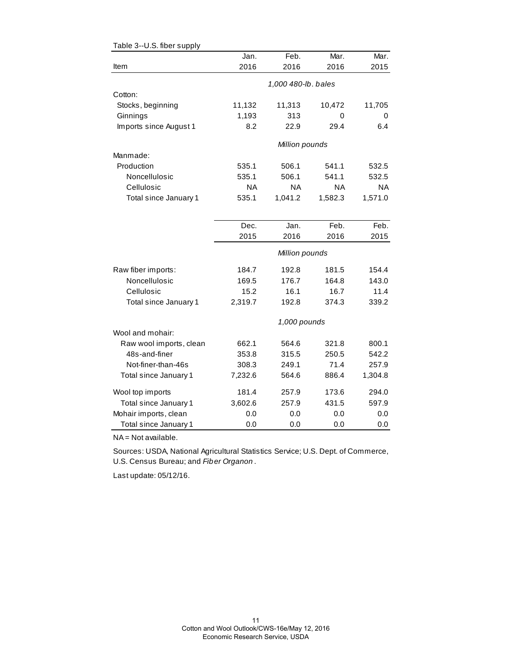| rapic J--O.J. liber suppry | Jan.      | Feb.                | Mar.      | Mar.      |
|----------------------------|-----------|---------------------|-----------|-----------|
| Item                       | 2016      | 2016                | 2016      | 2015      |
|                            |           | 1,000 480-lb. bales |           |           |
| Cotton:                    |           |                     |           |           |
| Stocks, beginning          | 11,132    | 11,313              | 10,472    | 11,705    |
| Ginnings                   | 1,193     | 313                 | 0         | 0         |
| Imports since August 1     | 8.2       | 22.9                | 29.4      | 6.4       |
|                            |           | Million pounds      |           |           |
| Manmade:                   |           |                     |           |           |
| Production                 | 535.1     | 506.1               | 541.1     | 532.5     |
| Noncellulosic              | 535.1     | 506.1               | 541.1     | 532.5     |
| Cellulosic                 | <b>NA</b> | <b>NA</b>           | <b>NA</b> | <b>NA</b> |
| Total since January 1      | 535.1     | 1,041.2             | 1,582.3   | 1,571.0   |
|                            |           |                     |           |           |
|                            | Dec.      | Jan.                | Feb.      | Feb.      |
|                            | 2015      | 2016                | 2016      | 2015      |
|                            |           | Million pounds      |           |           |
| Raw fiber imports:         | 184.7     | 192.8               | 181.5     | 154.4     |
| Noncellulosic              | 169.5     | 176.7               | 164.8     | 143.0     |
| Cellulosic                 | 15.2      | 16.1                | 16.7      | 11.4      |
| Total since January 1      | 2,319.7   | 192.8               | 374.3     | 339.2     |
|                            |           | 1,000 pounds        |           |           |
| Wool and mohair:           |           |                     |           |           |
| Raw wool imports, clean    | 662.1     | 564.6               | 321.8     | 800.1     |
| 48s-and-finer              | 353.8     | 315.5               | 250.5     | 542.2     |
| Not-finer-than-46s         | 308.3     | 249.1               | 71.4      | 257.9     |
| Total since January 1      | 7,232.6   | 564.6               | 886.4     | 1,304.8   |
| Wool top imports           | 181.4     | 257.9               | 173.6     | 294.0     |
| Total since January 1      | 3,602.6   | 257.9               | 431.5     | 597.9     |
| Mohair imports, clean      | 0.0       | 0.0                 | 0.0       | 0.0       |
| Total since January 1      | 0.0       | 0.0                 | 0.0       | 0.0       |

Table 3--U.S. fiber supply

NA = Not available.

Sources: USDA, National Agricultural Statistics Service; U.S. Dept. of Commerce, U.S. Census Bureau; and *Fiber Organon* .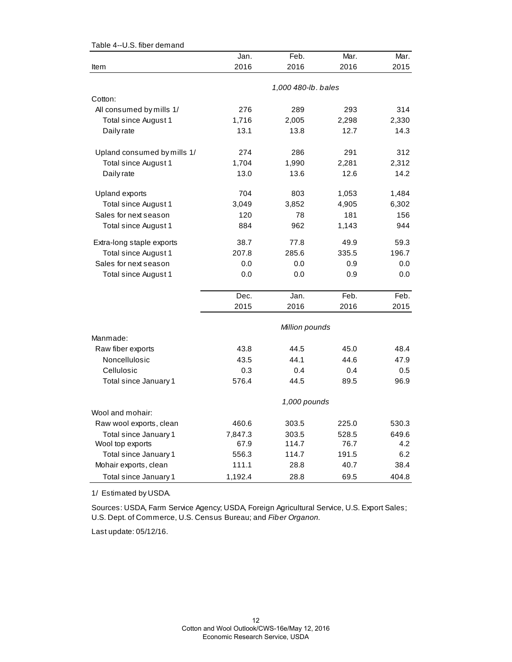|                             | Jan.           | Feb.                | Mar.  | Mar.  |  |  |
|-----------------------------|----------------|---------------------|-------|-------|--|--|
| Item                        | 2016           | 2016                | 2016  | 2015  |  |  |
|                             |                |                     |       |       |  |  |
| Cotton:                     |                | 1,000 480-lb. bales |       |       |  |  |
| All consumed by mills 1/    | 276            | 289                 | 293   | 314   |  |  |
| Total since August 1        | 1,716          | 2,005               | 2,298 | 2,330 |  |  |
| Daily rate                  | 13.1           | 13.8                | 12.7  | 14.3  |  |  |
| Upland consumed by mills 1/ | 274            | 286                 | 291   | 312   |  |  |
| Total since August 1        | 1,704          | 1,990               | 2,281 | 2,312 |  |  |
| Daily rate                  | 13.0           | 13.6                | 12.6  | 14.2  |  |  |
| <b>Upland exports</b>       | 704            | 803                 | 1,053 | 1,484 |  |  |
| Total since August 1        | 3,049          | 3,852               | 4,905 | 6,302 |  |  |
| Sales for next season       | 120            | 78                  | 181   | 156   |  |  |
| Total since August 1        | 884            | 962                 | 1,143 | 944   |  |  |
| Extra-long staple exports   | 38.7           | 77.8                | 49.9  | 59.3  |  |  |
| Total since August 1        | 207.8          | 285.6               | 335.5 | 196.7 |  |  |
| Sales for next season       | 0.0            | 0.0                 | 0.9   | 0.0   |  |  |
| Total since August 1        | 0.0            | 0.0                 | 0.9   | 0.0   |  |  |
|                             | Dec.           | Jan.                | Feb.  | Feb.  |  |  |
|                             | 2015           | 2016                | 2016  | 2015  |  |  |
|                             | Million pounds |                     |       |       |  |  |
| Manmade:                    |                |                     |       |       |  |  |
| Raw fiber exports           | 43.8           | 44.5                | 45.0  | 48.4  |  |  |
| Noncellulosic               | 43.5           | 44.1                | 44.6  | 47.9  |  |  |
| Cellulosic                  | 0.3            | 0.4                 | 0.4   | 0.5   |  |  |
| Total since January 1       | 576.4          | 44.5                | 89.5  | 96.9  |  |  |
|                             | 1,000 pounds   |                     |       |       |  |  |
| Wool and mohair:            |                |                     |       |       |  |  |
| Raw wool exports, clean     | 460.6          | 303.5               | 225.0 | 530.3 |  |  |
| Total since January 1       | 7,847.3        | 303.5               | 528.5 | 649.6 |  |  |
| Wool top exports            | 67.9           | 114.7               | 76.7  | 4.2   |  |  |
| Total since January 1       | 556.3          | 114.7               | 191.5 | 6.2   |  |  |
| Mohair exports, clean       | 111.1          | 28.8                | 40.7  | 38.4  |  |  |
| Total since January 1       | 1,192.4        | 28.8                | 69.5  | 404.8 |  |  |

Table 4--U.S. fiber demand

1/ Estimated by USDA.

Sources: USDA, Farm Service Agency; USDA, Foreign Agricultural Service, U.S. Export Sales; U.S. Dept. of Commerce, U.S. Census Bureau; and *Fiber Organon.*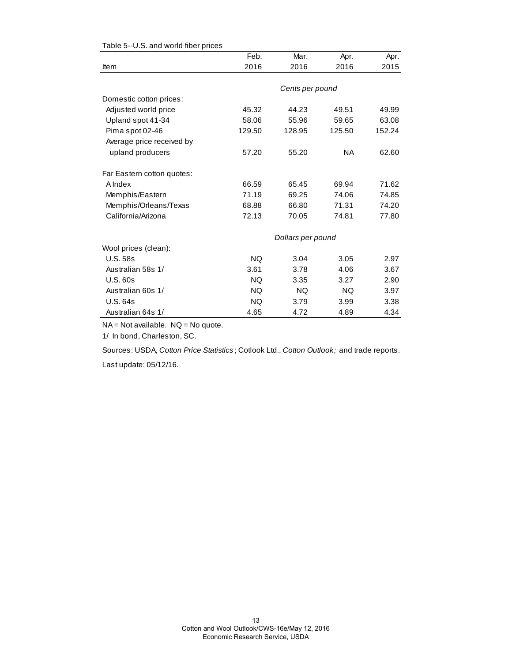|                            | Feb.      | Mar.              | Apr.      | Apr.   |
|----------------------------|-----------|-------------------|-----------|--------|
| Item                       | 2016      | 2016              | 2016      | 2015   |
|                            |           |                   |           |        |
|                            |           | Cents per pound   |           |        |
| Domestic cotton prices:    |           |                   |           |        |
| Adjusted world price       | 45.32     | 44.23             | 49.51     | 49.99  |
| Upland spot 41-34          | 58.06     | 55.96             | 59.65     | 63.08  |
| Pima spot 02-46            | 129.50    | 128.95            | 125.50    | 152.24 |
| Average price received by  |           |                   |           |        |
| upland producers           | 57.20     | 55.20             | <b>NA</b> | 62.60  |
| Far Eastern cotton quotes: |           |                   |           |        |
| A Index                    | 66.59     | 65.45             | 69.94     | 71.62  |
| Memphis/Eastern            | 71.19     | 69.25             | 74.06     | 74.85  |
| Memphis/Orleans/Texas      | 68.88     | 66.80             | 71.31     | 74.20  |
| California/Arizona         | 72.13     | 70.05             | 74.81     | 77.80  |
|                            |           | Dollars per pound |           |        |
| Wool prices (clean):       |           |                   |           |        |
| <b>U.S. 58s</b>            | <b>NQ</b> | 3.04              | 3.05      | 2.97   |
| Australian 58s 1/          | 3.61      | 3.78              | 4.06      | 3.67   |
| <b>U.S. 60s</b>            | <b>NQ</b> | 3.35              | 3.27      | 2.90   |
| Australian 60s 1/          | <b>NQ</b> | <b>NQ</b>         | NQ.       | 3.97   |
| <b>U.S. 64s</b>            | NQ.       | 3.79              | 3.99      | 3.38   |
| Australian 64s 1/          | 4.65      | 4.72              | 4.89      | 4.34   |

### Table 5--U.S. and world fiber prices

NA = Not available. NQ = No quote.

1/ In bond, Charleston, SC.

Sources: USDA, *Cotton Price Statistics* ; Cotlook Ltd., *Cotton Outlook;* and trade reports.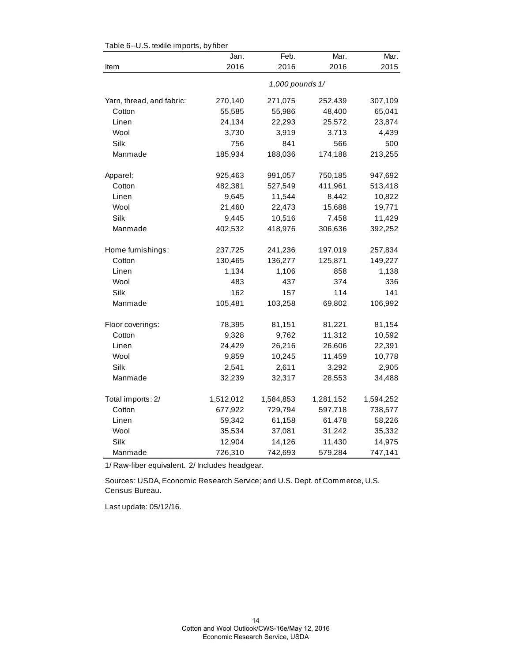|                           | Jan.      | Feb.            | Mar.      | Mar.      |
|---------------------------|-----------|-----------------|-----------|-----------|
| Item                      | 2016      | 2016            | 2016      | 2015      |
|                           |           | 1,000 pounds 1/ |           |           |
| Yarn, thread, and fabric: | 270,140   | 271,075         | 252,439   | 307,109   |
| Cotton                    | 55,585    | 55,986          | 48,400    | 65,041    |
| Linen                     | 24,134    | 22,293          | 25,572    | 23,874    |
| Wool                      | 3,730     | 3,919           | 3,713     | 4,439     |
| Silk                      | 756       | 841             | 566       | 500       |
| Manmade                   | 185,934   | 188,036         | 174,188   | 213,255   |
| Apparel:                  | 925,463   | 991,057         | 750,185   | 947,692   |
| Cotton                    | 482,381   | 527,549         | 411,961   | 513,418   |
| Linen                     | 9,645     | 11,544          | 8,442     | 10,822    |
| Wool                      | 21,460    | 22,473          | 15,688    | 19,771    |
| Silk                      | 9,445     | 10,516          | 7,458     | 11,429    |
| Manmade                   | 402,532   | 418,976         | 306,636   | 392,252   |
| Home furnishings:         | 237,725   | 241,236         | 197,019   | 257,834   |
| Cotton                    | 130,465   | 136,277         | 125,871   | 149,227   |
| Linen                     | 1,134     | 1,106           | 858       | 1,138     |
| Wool                      | 483       | 437             | 374       | 336       |
| Silk                      | 162       | 157             | 114       | 141       |
| Manmade                   | 105,481   | 103,258         | 69,802    | 106,992   |
| Floor coverings:          | 78,395    | 81,151          | 81,221    | 81,154    |
| Cotton                    | 9,328     | 9,762           | 11,312    | 10,592    |
| Linen                     | 24,429    | 26,216          | 26,606    | 22,391    |
| Wool                      | 9,859     | 10,245          | 11,459    | 10,778    |
| Silk                      | 2,541     | 2,611           | 3,292     | 2,905     |
| Manmade                   | 32,239    | 32,317          | 28,553    | 34,488    |
| Total imports: 2/         | 1,512,012 | 1,584,853       | 1,281,152 | 1,594,252 |
| Cotton                    | 677,922   | 729,794         | 597,718   | 738,577   |
| Linen                     | 59,342    | 61,158          | 61,478    | 58,226    |
| Wool                      | 35,534    | 37,081          | 31,242    | 35,332    |
| Silk                      | 12,904    | 14,126          | 11,430    | 14,975    |
| Manmade                   | 726,310   | 742,693         | 579,284   | 747,141   |

Table 6--U.S. textile imports, by fiber

1/ Raw-fiber equivalent. 2/ Includes headgear.

Sources: USDA, Economic Research Service; and U.S. Dept. of Commerce, U.S. Census Bureau.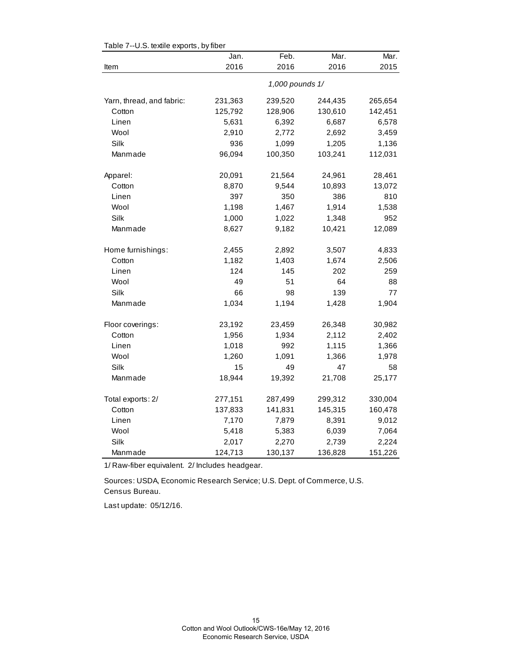|                           | Jan.    | Feb.            | Mar.    | Mar.    |
|---------------------------|---------|-----------------|---------|---------|
| Item                      | 2016    | 2016            | 2016    | 2015    |
|                           |         | 1,000 pounds 1/ |         |         |
| Yarn, thread, and fabric: | 231,363 | 239,520         | 244,435 | 265,654 |
| Cotton                    | 125,792 | 128,906         | 130,610 | 142,451 |
| Linen                     | 5,631   | 6,392           | 6,687   | 6,578   |
| Wool                      | 2,910   | 2,772           | 2,692   | 3,459   |
| Silk                      | 936     | 1,099           | 1,205   | 1,136   |
| Manmade                   | 96,094  | 100,350         | 103,241 | 112,031 |
| Apparel:                  | 20,091  | 21,564          | 24,961  | 28,461  |
| Cotton                    | 8,870   | 9,544           | 10,893  | 13,072  |
| Linen                     | 397     | 350             | 386     | 810     |
| Wool                      | 1,198   | 1,467           | 1,914   | 1,538   |
| Silk                      | 1,000   | 1,022           | 1,348   | 952     |
| Manmade                   | 8,627   | 9,182           | 10,421  | 12,089  |
| Home furnishings:         | 2,455   | 2,892           | 3,507   | 4,833   |
| Cotton                    | 1,182   | 1,403           | 1,674   | 2,506   |
| Linen                     | 124     | 145             | 202     | 259     |
| Wool                      | 49      | 51              | 64      | 88      |
| Silk                      | 66      | 98              | 139     | 77      |
| Manmade                   | 1,034   | 1,194           | 1,428   | 1,904   |
| Floor coverings:          | 23,192  | 23,459          | 26,348  | 30,982  |
| Cotton                    | 1,956   | 1,934           | 2,112   | 2,402   |
| Linen                     | 1,018   | 992             | 1,115   | 1,366   |
| Wool                      | 1,260   | 1,091           | 1,366   | 1,978   |
| Silk                      | 15      | 49              | 47      | 58      |
| Manmade                   | 18,944  | 19,392          | 21,708  | 25,177  |
| Total exports: 2/         | 277,151 | 287,499         | 299,312 | 330,004 |
| Cotton                    | 137,833 | 141,831         | 145,315 | 160,478 |
| Linen                     | 7,170   | 7,879           | 8,391   | 9,012   |
| Wool                      | 5,418   | 5,383           | 6,039   | 7,064   |
| Silk                      | 2,017   | 2,270           | 2,739   | 2,224   |
| Manmade                   | 124,713 | 130,137         | 136,828 | 151,226 |

Table 7--U.S. textile exports, by fiber

1/ Raw-fiber equivalent. 2/ Includes headgear.

Census Bureau. Sources: USDA, Economic Research Service; U.S. Dept. of Commerce, U.S.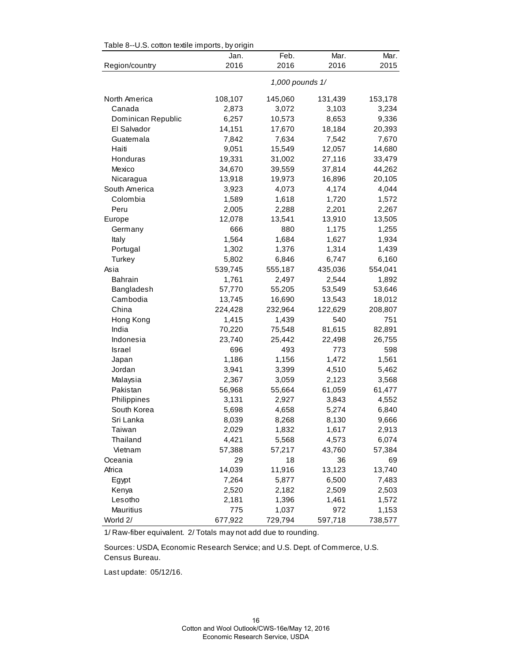| rable o--0.0. Collori lexille limports, by origin |         |                 |         |         |
|---------------------------------------------------|---------|-----------------|---------|---------|
|                                                   | Jan.    | Feb.            | Mar.    | Mar.    |
| Region/country                                    | 2016    | 2016            | 2016    | 2015    |
|                                                   |         | 1,000 pounds 1/ |         |         |
| North America                                     | 108,107 | 145,060         | 131,439 | 153,178 |
| Canada                                            | 2,873   | 3,072           | 3,103   | 3,234   |
| Dominican Republic                                | 6,257   | 10,573          | 8,653   | 9,336   |
| El Salvador                                       | 14,151  | 17,670          | 18,184  | 20,393  |
| Guatemala                                         | 7,842   | 7,634           | 7,542   | 7,670   |
| Haiti                                             | 9,051   | 15,549          | 12,057  | 14,680  |
| Honduras                                          | 19,331  | 31,002          | 27,116  | 33,479  |
| Mexico                                            | 34,670  | 39,559          | 37,814  | 44,262  |
| Nicaragua                                         | 13,918  | 19,973          | 16,896  | 20,105  |
| South America                                     | 3,923   | 4,073           | 4,174   | 4,044   |
| Colombia                                          | 1,589   | 1,618           | 1,720   | 1,572   |
| Peru                                              | 2,005   | 2,288           | 2,201   | 2,267   |
| Europe                                            | 12,078  | 13,541          | 13,910  | 13,505  |
| Germany                                           | 666     | 880             | 1,175   | 1,255   |
| Italy                                             | 1,564   | 1,684           | 1,627   | 1,934   |
| Portugal                                          | 1,302   | 1,376           | 1,314   | 1,439   |
| Turkey                                            | 5,802   | 6,846           | 6,747   | 6,160   |
| Asia                                              | 539,745 | 555,187         | 435,036 | 554,041 |
| <b>Bahrain</b>                                    | 1,761   | 2,497           | 2,544   | 1,892   |
| Bangladesh                                        | 57,770  | 55,205          | 53,549  | 53,646  |
| Cambodia                                          | 13,745  | 16,690          | 13,543  | 18,012  |
| China                                             | 224,428 | 232,964         | 122,629 | 208,807 |
| Hong Kong                                         | 1,415   | 1,439           | 540     | 751     |
| India                                             | 70,220  | 75,548          | 81,615  | 82,891  |
| Indonesia                                         | 23,740  | 25,442          | 22,498  | 26,755  |
| <b>Israel</b>                                     | 696     | 493             | 773     | 598     |
| Japan                                             | 1,186   | 1,156           | 1,472   | 1,561   |
| Jordan                                            | 3,941   | 3,399           | 4,510   | 5,462   |
| Malaysia                                          | 2,367   | 3,059           | 2,123   | 3,568   |
| Pakistan                                          | 56,968  | 55,664          | 61,059  | 61,477  |
| Philippines                                       | 3,131   | 2,927           | 3,843   | 4,552   |
| South Korea                                       | 5,698   | 4,658           | 5,274   | 6,840   |
| Sri Lanka                                         | 8,039   | 8,268           | 8,130   | 9,666   |
| Taiwan                                            | 2,029   | 1,832           | 1,617   | 2,913   |
| Thailand                                          | 4,421   | 5,568           | 4,573   | 6,074   |
| Vietnam                                           | 57,388  | 57,217          | 43,760  | 57,384  |
| Oceania                                           | 29      | 18              | 36      | 69      |
| Africa                                            | 14,039  | 11,916          | 13,123  | 13,740  |
| Egypt                                             | 7,264   | 5,877           | 6,500   | 7,483   |
| Kenya                                             | 2,520   | 2,182           | 2,509   | 2,503   |
| Lesotho                                           | 2,181   | 1,396           | 1,461   | 1,572   |
| Mauritius                                         | 775     | 1,037           | 972     | 1,153   |
| World 2/                                          | 677,922 | 729,794         | 597,718 | 738,577 |

Table 8--U.S. cotton textile imports, by origin

1/ Raw-fiber equivalent. 2/ Totals may not add due to rounding.

Sources: USDA, Economic Research Service; and U.S. Dept. of Commerce, U.S. Census Bureau.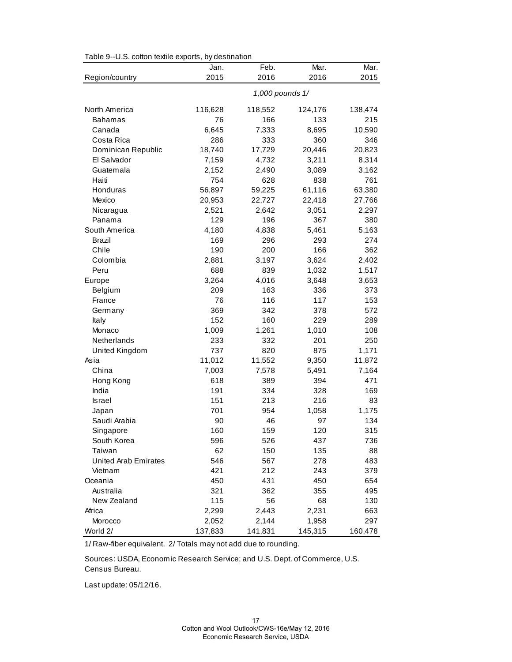| Table 9--U.S. cotton textile exports, by destination |  |  |  |  |  |
|------------------------------------------------------|--|--|--|--|--|
|------------------------------------------------------|--|--|--|--|--|

|                             | Jan.      | Feb.            | Mar.       | Mar.       |
|-----------------------------|-----------|-----------------|------------|------------|
| Region/country              | 2015      | 2016            | 2016       | 2015       |
|                             |           | 1,000 pounds 1/ |            |            |
| North America               | 116,628   | 118,552         | 124,176    | 138,474    |
| <b>Bahamas</b>              | 76        | 166             | 133        | 215        |
| Canada                      | 6,645     | 7,333           | 8,695      | 10,590     |
| Costa Rica                  | 286       | 333             | 360        | 346        |
| Dominican Republic          | 18,740    | 17,729          | 20,446     | 20,823     |
| El Salvador                 | 7,159     | 4,732           | 3,211      | 8,314      |
| Guatemala                   | 2,152     | 2,490           | 3,089      | 3,162      |
| Haiti                       | 754       | 628             | 838        | 761        |
| Honduras                    | 56,897    | 59,225          | 61,116     | 63,380     |
| Mexico                      | 20,953    | 22,727          | 22,418     | 27,766     |
| Nicaragua                   | 2,521     | 2,642           | 3,051      | 2,297      |
| Panama                      | 129       | 196             | 367        | 380        |
| South America               | 4,180     | 4,838           | 5,461      | 5,163      |
| Brazil                      | 169       | 296             | 293        | 274        |
| Chile                       | 190       | 200             | 166        | 362        |
| Colombia                    | 2,881     | 3,197           | 3,624      | 2,402      |
| Peru                        | 688       | 839             | 1,032      | 1,517      |
| Europe                      | 3,264     | 4,016           | 3,648      | 3,653      |
| Belgium                     | 209       | 163             | 336        | 373        |
| France                      | 76        | 116             | 117        | 153        |
| Germany                     | 369       | 342             | 378        | 572        |
| Italy                       | 152       | 160             | 229        | 289        |
| Monaco                      | 1,009     | 1,261           | 1,010      | 108        |
| Netherlands                 | 233       | 332             | 201        | 250        |
| United Kingdom              | 737       | 820             | 875        | 1,171      |
| Asia                        | 11,012    | 11,552          | 9,350      | 11,872     |
| China                       | 7,003     | 7,578           | 5,491      | 7,164      |
| Hong Kong                   | 618       | 389             | 394        | 471        |
| India                       | 191       | 334             | 328        | 169        |
| Israel                      | 151       | 213             | 216        | 83         |
| Japan                       | 701       | 954             | 1,058      | 1,175      |
| Saudi Arabia                | 90        | 46              | 97<br>120  | 134        |
| Singapore                   | 160       | 159             |            | 315        |
| South Korea<br>Taiwan       | 596       | 526<br>150      | 437        | 736        |
| <b>United Arab Emirates</b> | 62<br>546 |                 | 135<br>278 | 88         |
| Vietnam                     | 421       | 567<br>212      | 243        | 483<br>379 |
| Oceania                     | 450       | 431             | 450        | 654        |
| Australia                   | 321       | 362             | 355        | 495        |
| New Zealand                 | 115       | 56              | 68         | 130        |
| Africa                      | 2,299     | 2,443           | 2,231      | 663        |
| Morocco                     | 2,052     | 2,144           | 1,958      | 297        |
| World 2/                    | 137,833   | 141,831         | 145,315    | 160,478    |
|                             |           |                 |            |            |

1/ Raw-fiber equivalent. 2/ Totals may not add due to rounding.

Sources: USDA, Economic Research Service; and U.S. Dept. of Commerce, U.S. Census Bureau.